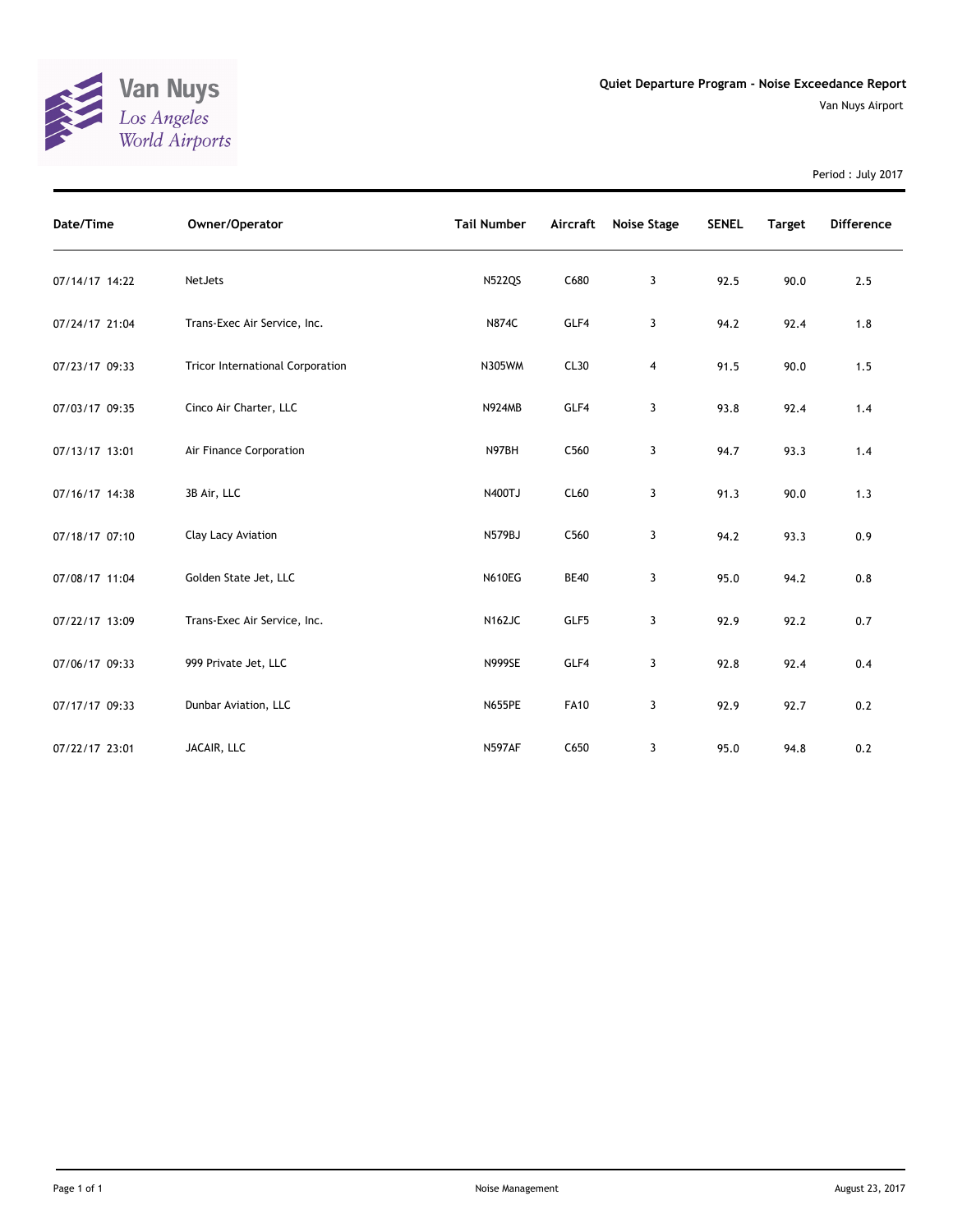

Period : July 2017

| Date/Time      | Owner/Operator                          | <b>Tail Number</b> | Aircraft    | Noise Stage | <b>SENEL</b> | <b>Target</b> | <b>Difference</b> |
|----------------|-----------------------------------------|--------------------|-------------|-------------|--------------|---------------|-------------------|
| 07/14/17 14:22 | NetJets                                 | <b>N522QS</b>      | C680        | 3           | 92.5         | 90.0          | 2.5               |
| 07/24/17 21:04 | Trans-Exec Air Service, Inc.            | <b>N874C</b>       | GLF4        | 3           | 94.2         | 92.4          | 1.8               |
| 07/23/17 09:33 | <b>Tricor International Corporation</b> | N305WM             | CL30        | 4           | 91.5         | 90.0          | 1.5               |
| 07/03/17 09:35 | Cinco Air Charter, LLC                  | N924MB             | GLF4        | 3           | 93.8         | 92.4          | 1.4               |
| 07/13/17 13:01 | Air Finance Corporation                 | N97BH              | C560        | 3           | 94.7         | 93.3          | 1.4               |
| 07/16/17 14:38 | 3B Air, LLC                             | N400TJ             | CL60        | 3           | 91.3         | 90.0          | 1.3               |
| 07/18/17 07:10 | Clay Lacy Aviation                      | N579BJ             | C560        | 3           | 94.2         | 93.3          | 0.9               |
| 07/08/17 11:04 | Golden State Jet, LLC                   | <b>N610EG</b>      | <b>BE40</b> | 3           | 95.0         | 94.2          | 0.8               |
| 07/22/17 13:09 | Trans-Exec Air Service, Inc.            | <b>N162JC</b>      | GLF5        | 3           | 92.9         | 92.2          | 0.7               |
| 07/06/17 09:33 | 999 Private Jet, LLC                    | <b>N999SE</b>      | GLF4        | 3           | 92.8         | 92.4          | 0.4               |
| 07/17/17 09:33 | Dunbar Aviation, LLC                    | <b>N655PE</b>      | <b>FA10</b> | 3           | 92.9         | 92.7          | 0.2               |
| 07/22/17 23:01 | JACAIR, LLC                             | <b>N597AF</b>      | C650        | 3           | 95.0         | 94.8          | 0.2               |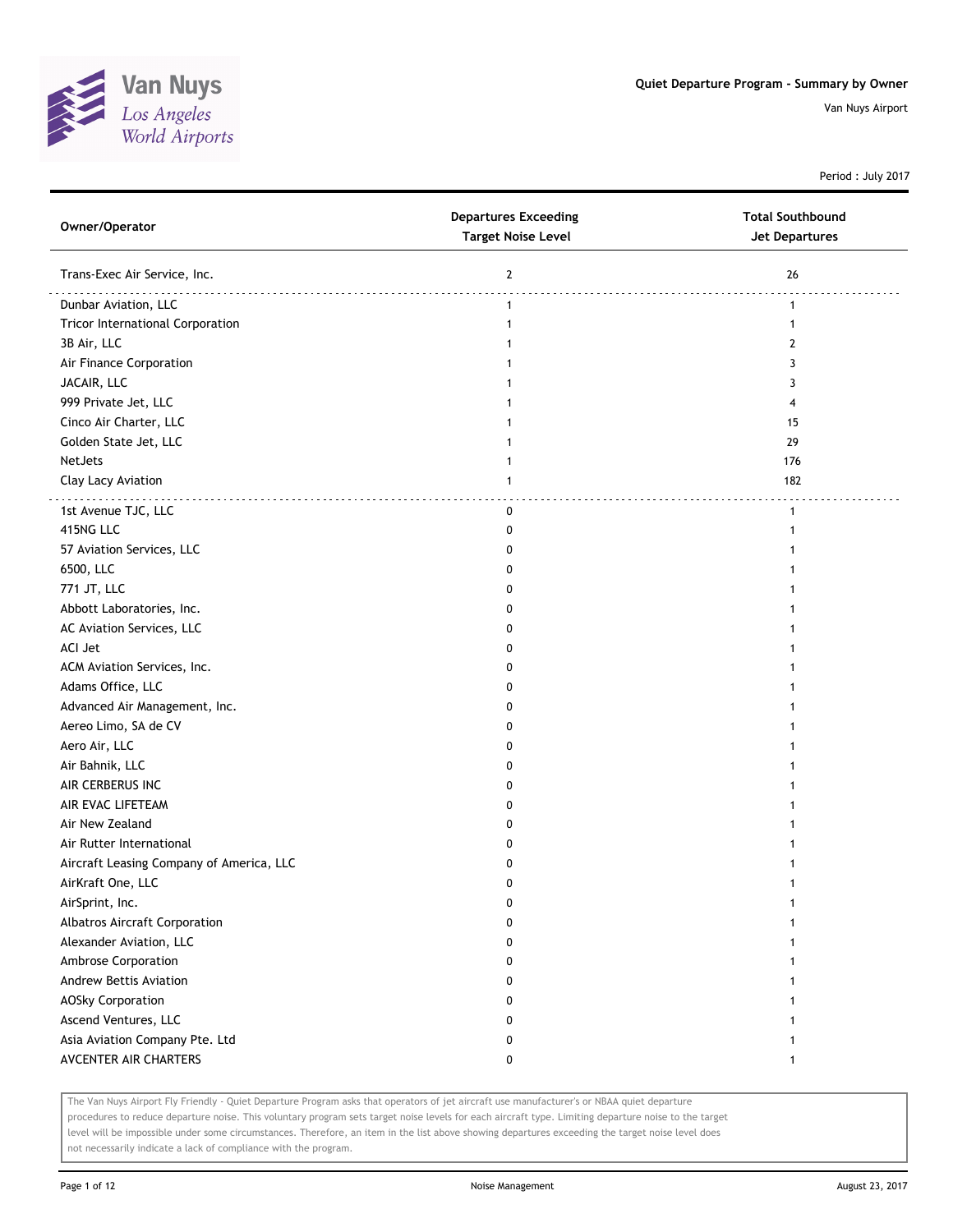

Period : July 2017

| Owner/Operator                           | <b>Departures Exceeding</b><br><b>Target Noise Level</b> | <b>Total Southbound</b><br><b>Jet Departures</b> |
|------------------------------------------|----------------------------------------------------------|--------------------------------------------------|
| Trans-Exec Air Service, Inc.             | $\mathbf{2}$                                             | 26                                               |
| Dunbar Aviation, LLC                     | $\mathbf{1}$                                             | $\mathbf{1}$                                     |
| <b>Tricor International Corporation</b>  | $\mathbf{1}$                                             | 1                                                |
| 3B Air, LLC                              |                                                          | 2                                                |
| Air Finance Corporation                  |                                                          | 3                                                |
| JACAIR, LLC                              |                                                          | 3                                                |
| 999 Private Jet, LLC                     |                                                          | 4                                                |
| Cinco Air Charter, LLC                   |                                                          | 15                                               |
| Golden State Jet, LLC                    | 1                                                        | 29                                               |
| NetJets                                  | 1                                                        | 176                                              |
| Clay Lacy Aviation                       | $\mathbf{1}$                                             | 182                                              |
| 1st Avenue TJC, LLC                      | 0                                                        | $\mathbf{1}$                                     |
| 415NG LLC                                | 0                                                        | 1                                                |
| 57 Aviation Services, LLC                | 0                                                        |                                                  |
| 6500, LLC                                | O                                                        |                                                  |
| 771 JT, LLC                              | 0                                                        |                                                  |
| Abbott Laboratories, Inc.                | 0                                                        |                                                  |
| AC Aviation Services, LLC                | 0                                                        |                                                  |
| ACI Jet                                  | 0                                                        |                                                  |
| ACM Aviation Services, Inc.              | 0                                                        |                                                  |
| Adams Office, LLC                        | 0                                                        |                                                  |
| Advanced Air Management, Inc.            | 0                                                        |                                                  |
| Aereo Limo, SA de CV                     | 0                                                        |                                                  |
| Aero Air, LLC                            | 0                                                        |                                                  |
| Air Bahnik, LLC                          | O                                                        |                                                  |
| AIR CERBERUS INC                         | 0                                                        |                                                  |
| AIR EVAC LIFETEAM                        | 0                                                        |                                                  |
| Air New Zealand                          | 0                                                        |                                                  |
| Air Rutter International                 | 0                                                        |                                                  |
| Aircraft Leasing Company of America, LLC | 0                                                        |                                                  |
| AirKraft One, LLC                        | 0                                                        |                                                  |
| AirSprint, Inc.                          | U                                                        |                                                  |
| Albatros Aircraft Corporation            | 0                                                        |                                                  |
| Alexander Aviation, LLC                  | 0                                                        |                                                  |
| Ambrose Corporation                      | 0                                                        | 1                                                |
| Andrew Bettis Aviation                   | 0                                                        |                                                  |
| <b>AOSky Corporation</b>                 | 0                                                        | 1                                                |
| Ascend Ventures, LLC                     | 0                                                        |                                                  |
| Asia Aviation Company Pte. Ltd           | 0                                                        | 1                                                |
| AVCENTER AIR CHARTERS                    | 0                                                        | $\mathbf{1}$                                     |
|                                          |                                                          |                                                  |

The Van Nuys Airport Fly Friendly - Quiet Departure Program asks that operators of jet aircraft use manufacturer's or NBAA quiet departure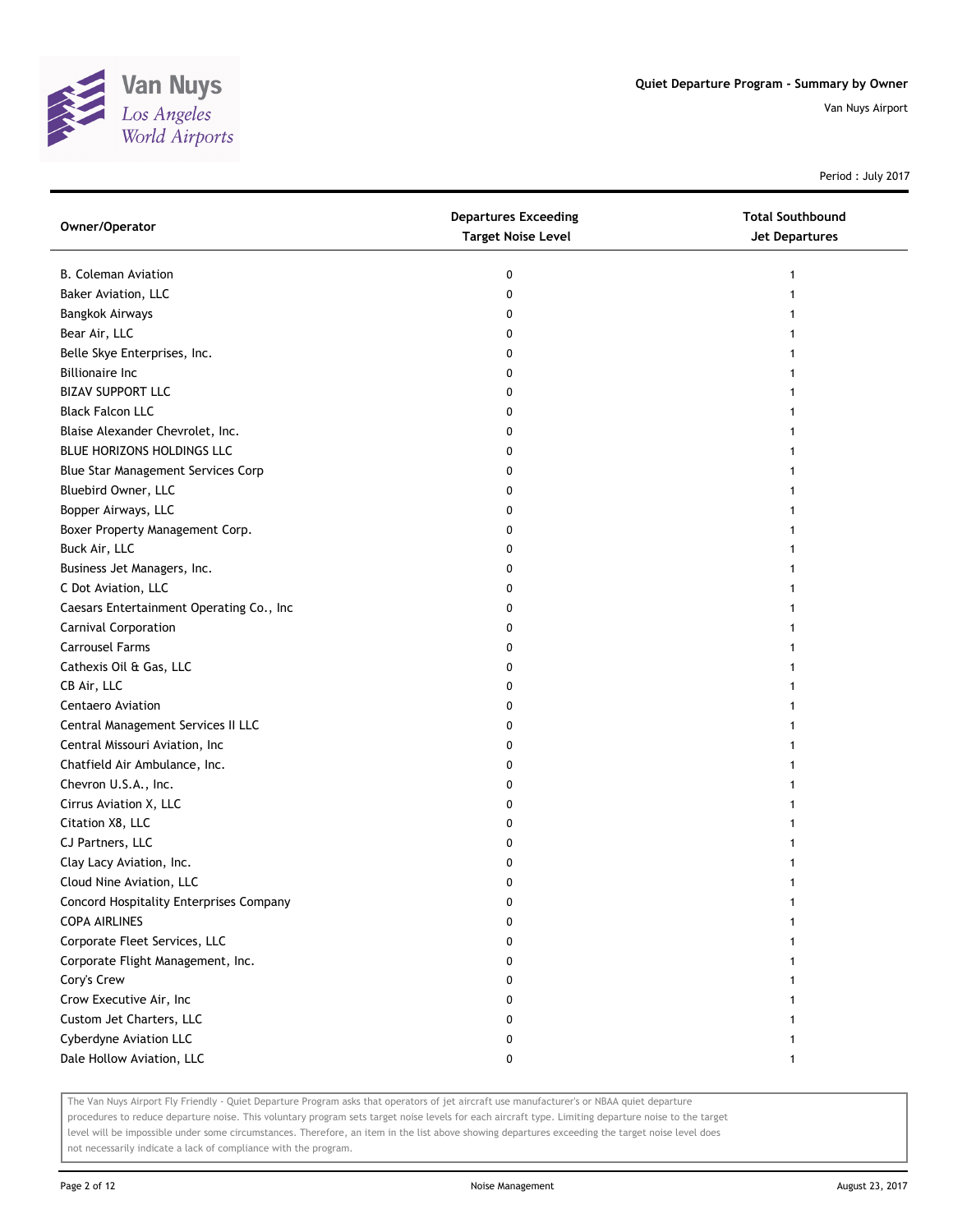

Period : July 2017

| Owner/Operator                           | <b>Departures Exceeding</b><br><b>Target Noise Level</b> | <b>Total Southbound</b><br><b>Jet Departures</b> |
|------------------------------------------|----------------------------------------------------------|--------------------------------------------------|
| <b>B. Coleman Aviation</b>               | 0                                                        |                                                  |
| Baker Aviation, LLC                      | 0                                                        |                                                  |
| <b>Bangkok Airways</b>                   | 0                                                        |                                                  |
| Bear Air, LLC                            | 0                                                        |                                                  |
| Belle Skye Enterprises, Inc.             | 0                                                        |                                                  |
| <b>Billionaire Inc</b>                   | 0                                                        |                                                  |
| <b>BIZAV SUPPORT LLC</b>                 | 0                                                        |                                                  |
| <b>Black Falcon LLC</b>                  | 0                                                        |                                                  |
| Blaise Alexander Chevrolet, Inc.         | 0                                                        |                                                  |
| BLUE HORIZONS HOLDINGS LLC               | 0                                                        |                                                  |
| Blue Star Management Services Corp       | 0                                                        |                                                  |
| Bluebird Owner, LLC                      | 0                                                        |                                                  |
| Bopper Airways, LLC                      | 0                                                        |                                                  |
| Boxer Property Management Corp.          | 0                                                        |                                                  |
| Buck Air, LLC                            | 0                                                        |                                                  |
| Business Jet Managers, Inc.              | 0                                                        |                                                  |
| C Dot Aviation, LLC                      | 0                                                        |                                                  |
| Caesars Entertainment Operating Co., Inc | 0                                                        |                                                  |
| Carnival Corporation                     | 0                                                        |                                                  |
| <b>Carrousel Farms</b>                   | 0                                                        |                                                  |
| Cathexis Oil & Gas, LLC                  | 0                                                        |                                                  |
| CB Air, LLC                              | 0                                                        |                                                  |
| <b>Centaero Aviation</b>                 | 0                                                        |                                                  |
| Central Management Services II LLC       | 0                                                        |                                                  |
| Central Missouri Aviation, Inc           | 0                                                        |                                                  |
| Chatfield Air Ambulance, Inc.            | 0                                                        |                                                  |
| Chevron U.S.A., Inc.                     | 0                                                        |                                                  |
| Cirrus Aviation X, LLC                   | 0                                                        |                                                  |
| Citation X8, LLC                         | 0                                                        |                                                  |
| CJ Partners, LLC                         | 0                                                        |                                                  |
| Clay Lacy Aviation, Inc.                 | 0                                                        |                                                  |
| Cloud Nine Aviation, LLC                 | 0                                                        |                                                  |
| Concord Hospitality Enterprises Company  | U                                                        |                                                  |
| <b>COPA AIRLINES</b>                     | 0                                                        |                                                  |
| Corporate Fleet Services, LLC            | 0                                                        |                                                  |
| Corporate Flight Management, Inc.        | 0                                                        |                                                  |
| Cory's Crew                              | 0                                                        |                                                  |
| Crow Executive Air, Inc                  | 0                                                        |                                                  |
| Custom Jet Charters, LLC                 | 0                                                        |                                                  |
| Cyberdyne Aviation LLC                   | 0                                                        |                                                  |
| Dale Hollow Aviation, LLC                | 0                                                        |                                                  |

The Van Nuys Airport Fly Friendly - Quiet Departure Program asks that operators of jet aircraft use manufacturer's or NBAA quiet departure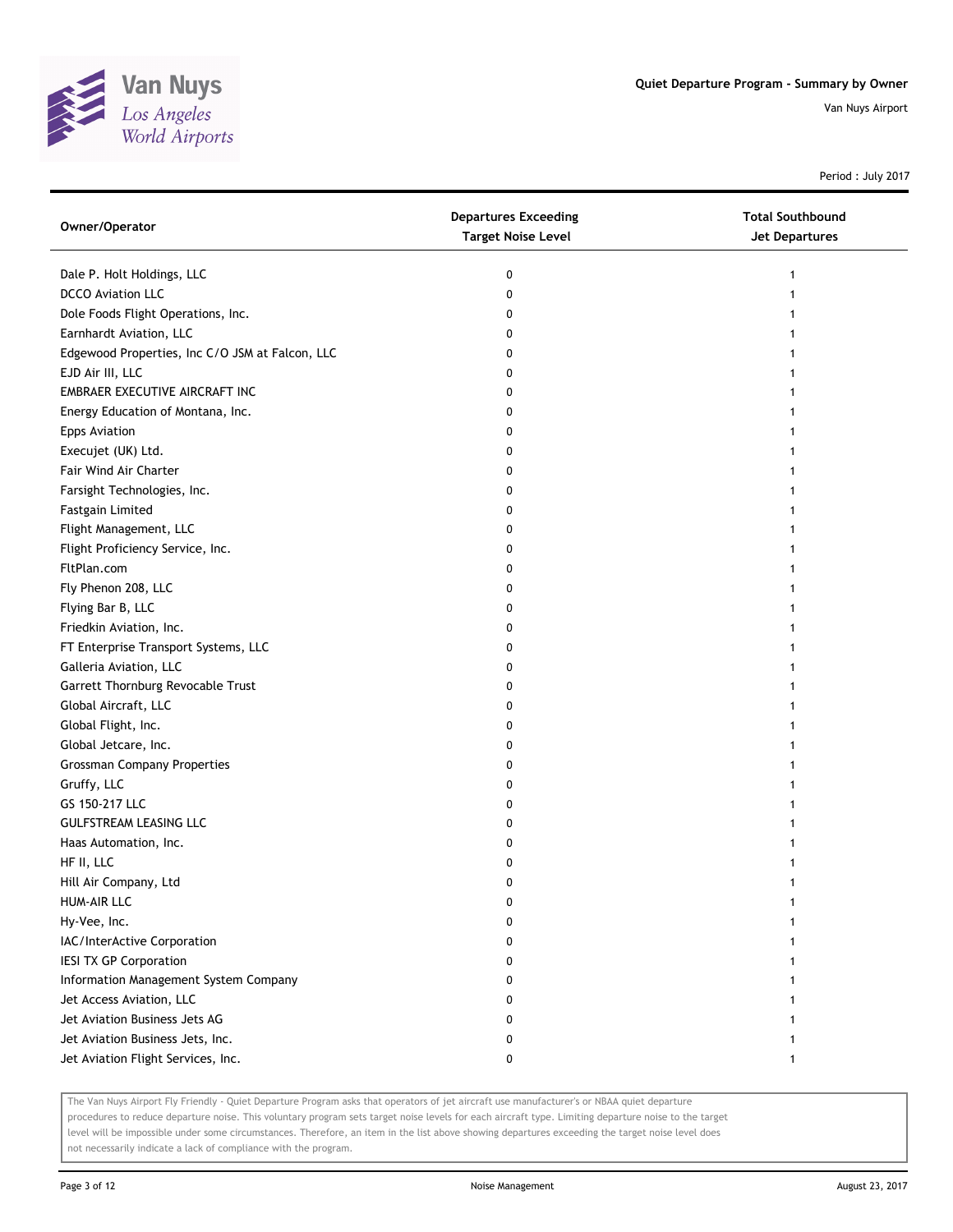

Period : July 2017

| Owner/Operator                                  | <b>Departures Exceeding</b><br><b>Target Noise Level</b> | <b>Total Southbound</b><br><b>Jet Departures</b> |
|-------------------------------------------------|----------------------------------------------------------|--------------------------------------------------|
| Dale P. Holt Holdings, LLC                      | 0                                                        | 1                                                |
| <b>DCCO</b> Aviation LLC                        | 0                                                        |                                                  |
| Dole Foods Flight Operations, Inc.              | 0                                                        |                                                  |
| Earnhardt Aviation, LLC                         | 0                                                        |                                                  |
| Edgewood Properties, Inc C/O JSM at Falcon, LLC | 0                                                        |                                                  |
| EJD Air III, LLC                                | 0                                                        |                                                  |
| EMBRAER EXECUTIVE AIRCRAFT INC                  | 0                                                        |                                                  |
| Energy Education of Montana, Inc.               | 0                                                        |                                                  |
| <b>Epps Aviation</b>                            | 0                                                        |                                                  |
| Execujet (UK) Ltd.                              | 0                                                        |                                                  |
| Fair Wind Air Charter                           | 0                                                        |                                                  |
| Farsight Technologies, Inc.                     | 0                                                        |                                                  |
| Fastgain Limited                                | 0                                                        |                                                  |
| Flight Management, LLC                          | 0                                                        |                                                  |
| Flight Proficiency Service, Inc.                | 0                                                        |                                                  |
| FltPlan.com                                     | 0                                                        |                                                  |
| Fly Phenon 208, LLC                             | 0                                                        |                                                  |
| Flying Bar B, LLC                               | 0                                                        |                                                  |
| Friedkin Aviation, Inc.                         | 0                                                        |                                                  |
| FT Enterprise Transport Systems, LLC            | 0                                                        |                                                  |
| Galleria Aviation, LLC                          | 0                                                        |                                                  |
| Garrett Thornburg Revocable Trust               | 0                                                        |                                                  |
| Global Aircraft, LLC                            | 0                                                        |                                                  |
| Global Flight, Inc.                             | 0                                                        |                                                  |
| Global Jetcare, Inc.                            | 0                                                        |                                                  |
| <b>Grossman Company Properties</b>              | 0                                                        |                                                  |
| Gruffy, LLC                                     | 0                                                        |                                                  |
| GS 150-217 LLC                                  | 0                                                        |                                                  |
| <b>GULFSTREAM LEASING LLC</b>                   | 0                                                        |                                                  |
| Haas Automation, Inc.                           | 0                                                        |                                                  |
| HF II, LLC                                      | 0                                                        |                                                  |
| Hill Air Company, Ltd                           | 0                                                        |                                                  |
| HUM-AIR LLC                                     |                                                          |                                                  |
| Hy-Vee, Inc.                                    | 0                                                        |                                                  |
| IAC/InterActive Corporation                     | 0                                                        |                                                  |
| <b>IESI TX GP Corporation</b>                   | 0                                                        |                                                  |
| Information Management System Company           | 0                                                        |                                                  |
| Jet Access Aviation, LLC                        | 0                                                        |                                                  |
| Jet Aviation Business Jets AG                   | 0                                                        |                                                  |
| Jet Aviation Business Jets, Inc.                | 0                                                        |                                                  |
| Jet Aviation Flight Services, Inc.              | 0                                                        |                                                  |

The Van Nuys Airport Fly Friendly - Quiet Departure Program asks that operators of jet aircraft use manufacturer's or NBAA quiet departure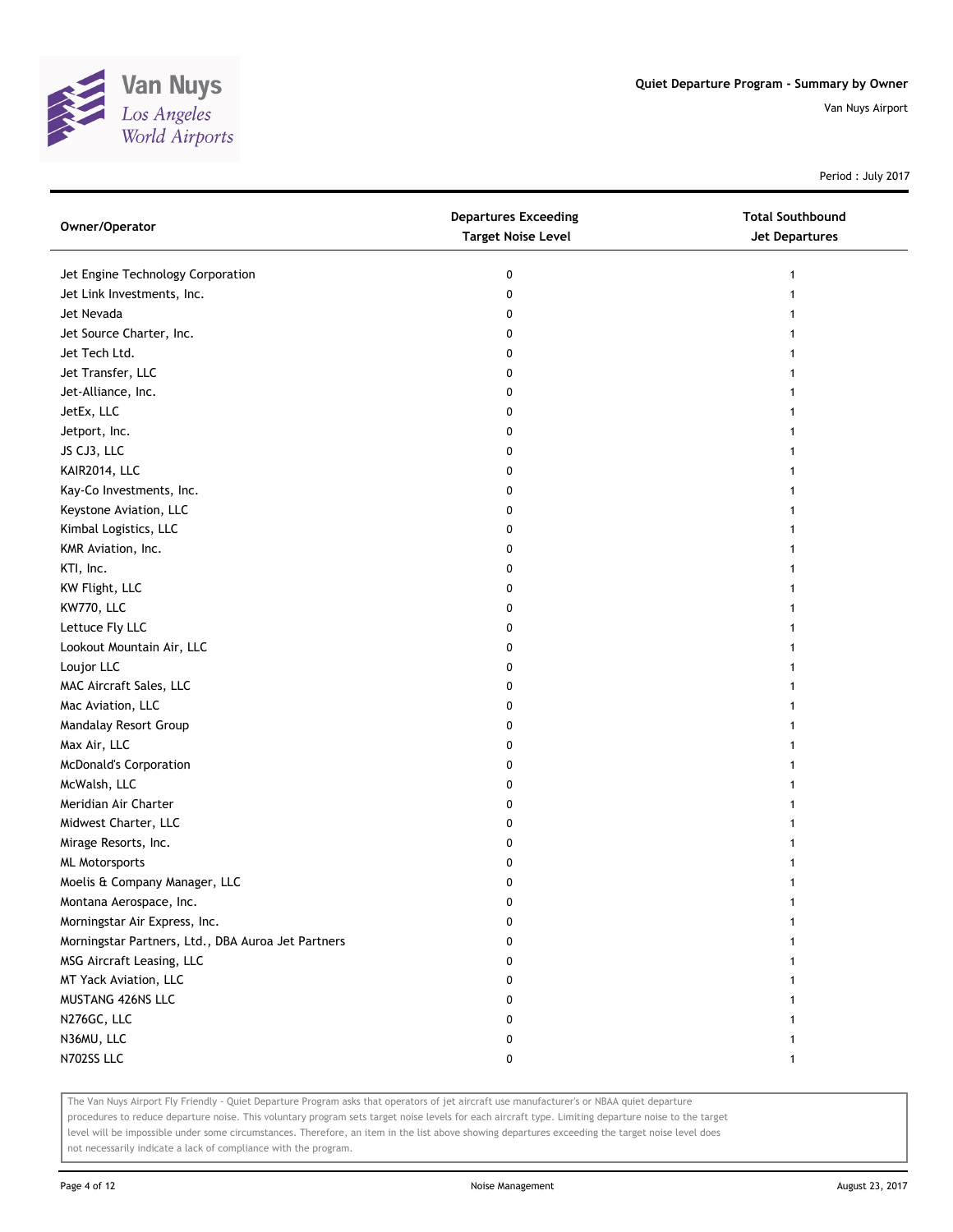

Period : July 2017

| Jet Engine Technology Corporation<br>0<br>1             |  |
|---------------------------------------------------------|--|
| Jet Link Investments, Inc.<br>0                         |  |
| Jet Nevada<br>0                                         |  |
| Jet Source Charter, Inc.<br>0                           |  |
| Jet Tech Ltd.<br>0                                      |  |
| Jet Transfer, LLC<br>0                                  |  |
| Jet-Alliance, Inc.<br>0                                 |  |
| JetEx, LLC<br>0                                         |  |
| Jetport, Inc.<br>0                                      |  |
| JS CJ3, LLC<br>0                                        |  |
| KAIR2014, LLC<br>0                                      |  |
| Kay-Co Investments, Inc.<br>0                           |  |
| Keystone Aviation, LLC<br>0                             |  |
| Kimbal Logistics, LLC<br>0                              |  |
| KMR Aviation, Inc.<br>0                                 |  |
| KTI, Inc.<br>0                                          |  |
| KW Flight, LLC<br>0                                     |  |
| KW770, LLC<br>0                                         |  |
| Lettuce Fly LLC<br>0                                    |  |
| Lookout Mountain Air, LLC<br>0                          |  |
| Loujor LLC<br>0                                         |  |
| MAC Aircraft Sales, LLC<br>0                            |  |
| Mac Aviation, LLC<br>0                                  |  |
| Mandalay Resort Group<br>0                              |  |
| Max Air, LLC<br>0                                       |  |
| <b>McDonald's Corporation</b><br>0<br>1                 |  |
| McWalsh, LLC<br>0<br>1                                  |  |
| Meridian Air Charter<br>0                               |  |
| Midwest Charter, LLC<br>0                               |  |
| Mirage Resorts, Inc.<br>0                               |  |
| <b>ML Motorsports</b><br>0                              |  |
| Moelis & Company Manager, LLC<br>0                      |  |
| Montana Aerospace, Inc.<br>0                            |  |
| Morningstar Air Express, Inc.<br>n                      |  |
| Morningstar Partners, Ltd., DBA Auroa Jet Partners<br>o |  |
| MSG Aircraft Leasing, LLC<br>0                          |  |
| MT Yack Aviation, LLC<br>0                              |  |
| MUSTANG 426NS LLC<br>0                                  |  |
| N276GC, LLC<br>0                                        |  |
| N36MU, LLC<br>0                                         |  |
| N702SS LLC<br>0<br>1                                    |  |

The Van Nuys Airport Fly Friendly - Quiet Departure Program asks that operators of jet aircraft use manufacturer's or NBAA quiet departure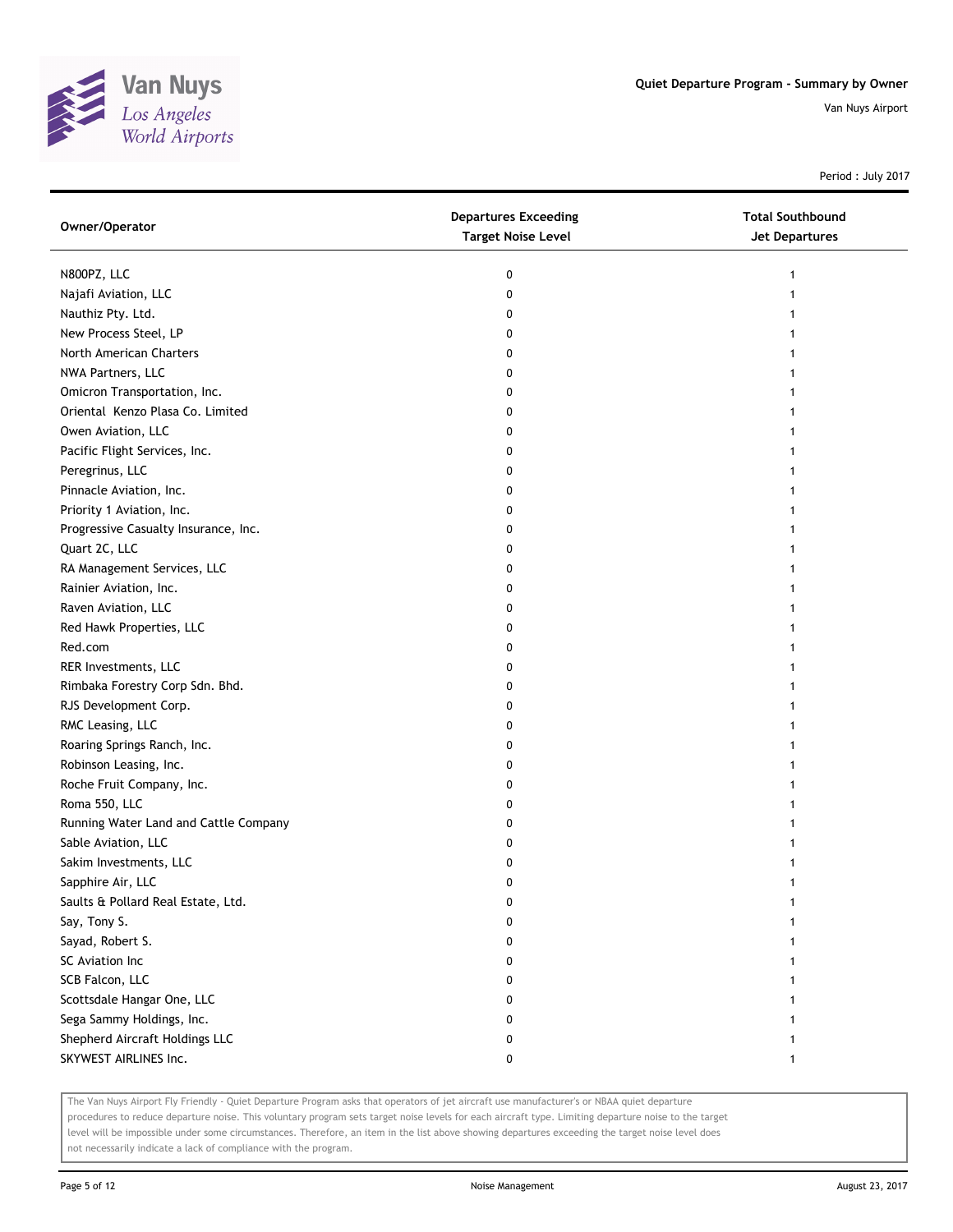

Period : July 2017

| Owner/Operator                        | <b>Departures Exceeding</b><br><b>Target Noise Level</b> | <b>Total Southbound</b><br><b>Jet Departures</b> |
|---------------------------------------|----------------------------------------------------------|--------------------------------------------------|
| N800PZ, LLC                           | 0                                                        | 1                                                |
| Najafi Aviation, LLC                  | 0                                                        |                                                  |
| Nauthiz Pty. Ltd.                     | 0                                                        |                                                  |
| New Process Steel, LP                 | 0                                                        |                                                  |
| North American Charters               | 0                                                        |                                                  |
| NWA Partners, LLC                     | 0                                                        |                                                  |
| Omicron Transportation, Inc.          | 0                                                        |                                                  |
| Oriental Kenzo Plasa Co. Limited      | 0                                                        |                                                  |
| Owen Aviation, LLC                    | 0                                                        |                                                  |
| Pacific Flight Services, Inc.         | 0                                                        |                                                  |
| Peregrinus, LLC                       | 0                                                        |                                                  |
| Pinnacle Aviation, Inc.               | 0                                                        |                                                  |
| Priority 1 Aviation, Inc.             | 0                                                        |                                                  |
| Progressive Casualty Insurance, Inc.  | 0                                                        |                                                  |
| Quart 2C, LLC                         | 0                                                        |                                                  |
| RA Management Services, LLC           | 0                                                        |                                                  |
| Rainier Aviation, Inc.                | 0                                                        |                                                  |
| Raven Aviation, LLC                   | 0                                                        |                                                  |
| Red Hawk Properties, LLC              | 0                                                        |                                                  |
| Red.com                               | 0                                                        |                                                  |
| RER Investments, LLC                  | 0                                                        |                                                  |
| Rimbaka Forestry Corp Sdn. Bhd.       | 0                                                        |                                                  |
| RJS Development Corp.                 | 0                                                        |                                                  |
| RMC Leasing, LLC                      | 0                                                        |                                                  |
| Roaring Springs Ranch, Inc.           | 0                                                        |                                                  |
| Robinson Leasing, Inc.                | 0                                                        |                                                  |
| Roche Fruit Company, Inc.             | 0                                                        |                                                  |
| Roma 550, LLC                         | 0                                                        |                                                  |
| Running Water Land and Cattle Company | 0                                                        |                                                  |
| Sable Aviation, LLC                   | 0                                                        |                                                  |
| Sakim Investments, LLC                | 0                                                        |                                                  |
| Sapphire Air, LLC                     | 0                                                        |                                                  |
| Saults & Pollard Real Estate, Ltd.    | 0                                                        |                                                  |
| Say, Tony S.                          | 0                                                        |                                                  |
| Sayad, Robert S.                      | 0                                                        |                                                  |
| SC Aviation Inc                       | 0                                                        |                                                  |
| SCB Falcon, LLC                       | 0                                                        |                                                  |
| Scottsdale Hangar One, LLC            | 0                                                        |                                                  |
| Sega Sammy Holdings, Inc.             | 0                                                        |                                                  |
| Shepherd Aircraft Holdings LLC        | 0                                                        |                                                  |
| SKYWEST AIRLINES Inc.                 | 0                                                        | 1                                                |

The Van Nuys Airport Fly Friendly - Quiet Departure Program asks that operators of jet aircraft use manufacturer's or NBAA quiet departure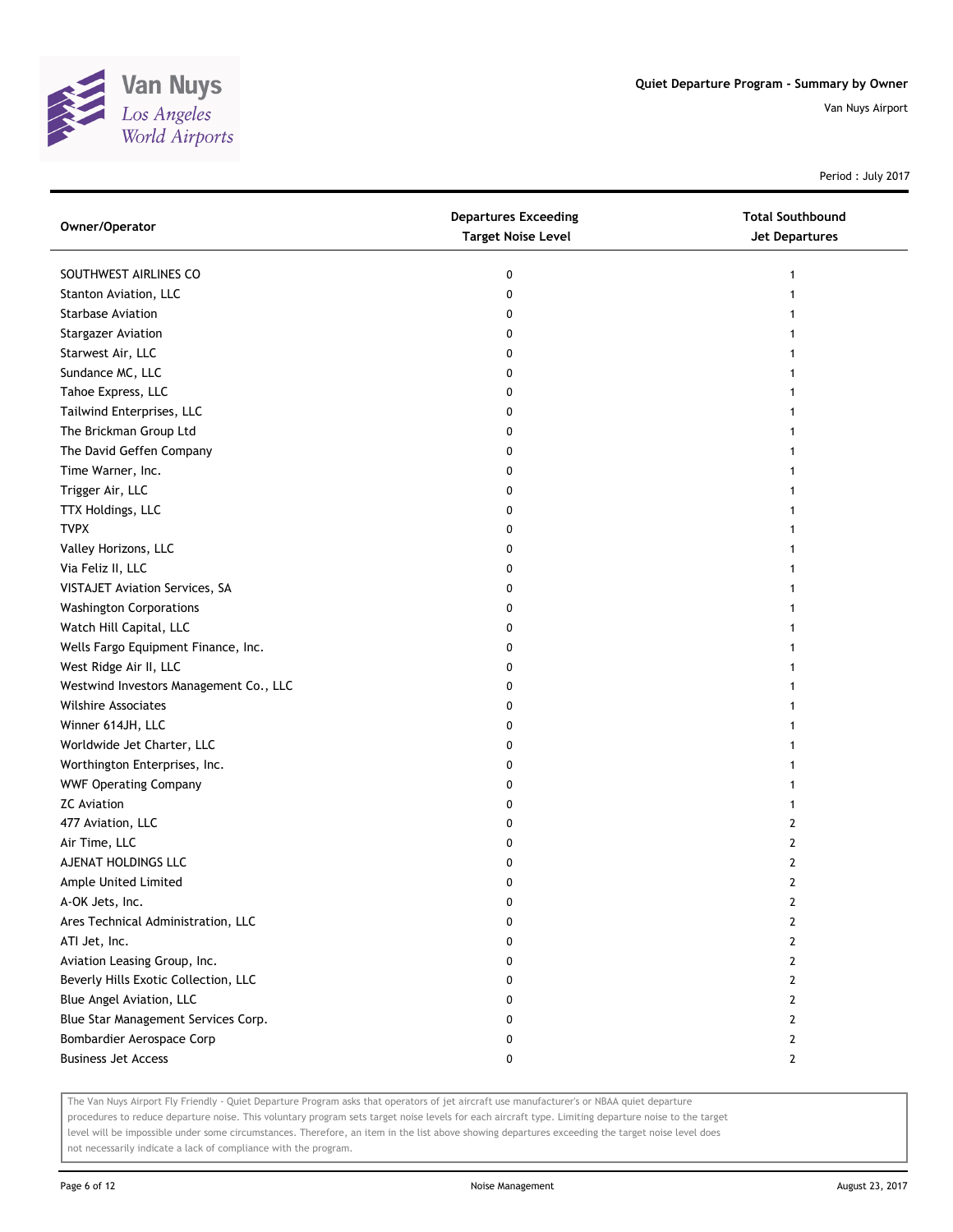

Period : July 2017

| Owner/Operator                         | <b>Departures Exceeding</b><br><b>Target Noise Level</b> | <b>Total Southbound</b><br>Jet Departures |
|----------------------------------------|----------------------------------------------------------|-------------------------------------------|
| SOUTHWEST AIRLINES CO                  | 0                                                        | 1                                         |
| Stanton Aviation, LLC                  | 0                                                        |                                           |
| <b>Starbase Aviation</b>               | 0                                                        |                                           |
| <b>Stargazer Aviation</b>              | 0                                                        |                                           |
| Starwest Air, LLC                      | 0                                                        |                                           |
| Sundance MC, LLC                       | 0                                                        |                                           |
| Tahoe Express, LLC                     | 0                                                        |                                           |
| Tailwind Enterprises, LLC              | 0                                                        |                                           |
| The Brickman Group Ltd                 | 0                                                        | 1                                         |
| The David Geffen Company               | 0                                                        |                                           |
| Time Warner, Inc.                      | 0                                                        |                                           |
| Trigger Air, LLC                       | 0                                                        |                                           |
| TTX Holdings, LLC                      | 0                                                        |                                           |
| <b>TVPX</b>                            | 0                                                        |                                           |
| Valley Horizons, LLC                   | 0                                                        |                                           |
| Via Feliz II, LLC                      | 0                                                        |                                           |
| VISTAJET Aviation Services, SA         | 0                                                        |                                           |
| <b>Washington Corporations</b>         | 0                                                        |                                           |
| Watch Hill Capital, LLC                | 0                                                        |                                           |
| Wells Fargo Equipment Finance, Inc.    | 0                                                        |                                           |
| West Ridge Air II, LLC                 | 0                                                        |                                           |
| Westwind Investors Management Co., LLC | 0                                                        |                                           |
| <b>Wilshire Associates</b>             | 0                                                        |                                           |
| Winner 614JH, LLC                      | 0                                                        |                                           |
| Worldwide Jet Charter, LLC             | 0                                                        |                                           |
| Worthington Enterprises, Inc.          | 0                                                        |                                           |
| <b>WWF Operating Company</b>           | 0                                                        |                                           |
| <b>ZC Aviation</b>                     | 0                                                        | 1                                         |
| 477 Aviation, LLC                      | 0                                                        | 2                                         |
| Air Time, LLC                          | 0                                                        | 2                                         |
| AJENAT HOLDINGS LLC                    | 0                                                        | 2                                         |
| Ample United Limited                   | 0                                                        | 2                                         |
| A-OK Jets, Inc.                        | U                                                        | L                                         |
| Ares Technical Administration, LLC     | 0                                                        | 2                                         |
| ATI Jet, Inc.                          | 0                                                        | 2                                         |
| Aviation Leasing Group, Inc.           | 0                                                        | 2                                         |
| Beverly Hills Exotic Collection, LLC   | 0                                                        | 2                                         |
| Blue Angel Aviation, LLC               | 0                                                        | 2                                         |
| Blue Star Management Services Corp.    | 0                                                        | 2                                         |
| Bombardier Aerospace Corp              | 0                                                        | $\mathbf{2}$                              |
| <b>Business Jet Access</b>             | 0                                                        | 2                                         |

The Van Nuys Airport Fly Friendly - Quiet Departure Program asks that operators of jet aircraft use manufacturer's or NBAA quiet departure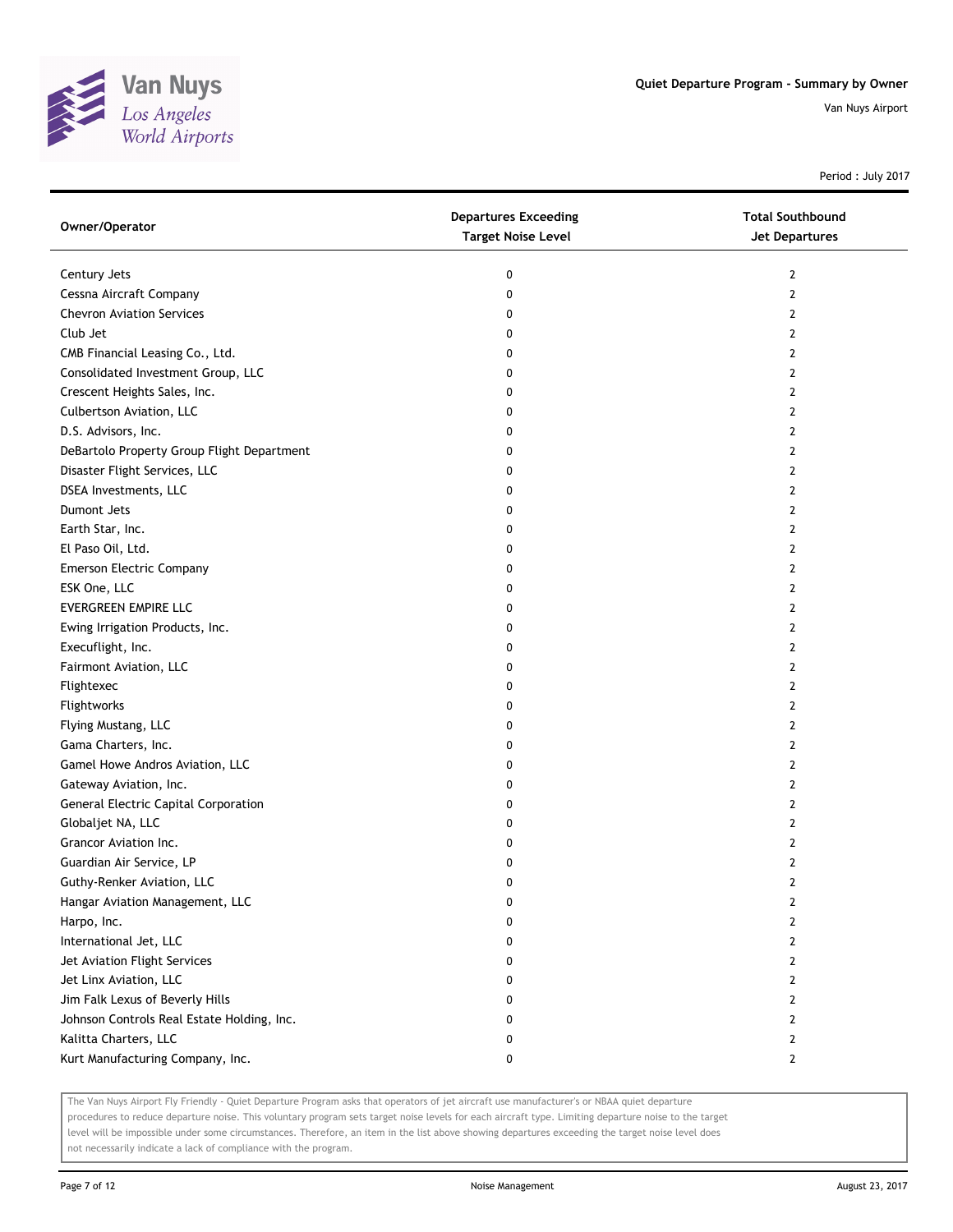

Period : July 2017

| Owner/Operator                              | <b>Departures Exceeding</b><br><b>Target Noise Level</b> | <b>Total Southbound</b><br>Jet Departures |
|---------------------------------------------|----------------------------------------------------------|-------------------------------------------|
| Century Jets                                | 0                                                        | 2                                         |
| Cessna Aircraft Company                     | 0                                                        | 2                                         |
| <b>Chevron Aviation Services</b>            | 0                                                        | 2                                         |
| Club Jet                                    | 0                                                        | 2                                         |
| CMB Financial Leasing Co., Ltd.             | 0                                                        | 2                                         |
| Consolidated Investment Group, LLC          | 0                                                        | 2                                         |
| Crescent Heights Sales, Inc.                | 0                                                        | 2                                         |
| Culbertson Aviation, LLC                    | 0                                                        | 2                                         |
| D.S. Advisors, Inc.                         | 0                                                        | 2                                         |
| DeBartolo Property Group Flight Department  | 0                                                        | 2                                         |
| Disaster Flight Services, LLC               | 0                                                        | 2                                         |
| DSEA Investments, LLC                       | 0                                                        | 2                                         |
| Dumont Jets                                 | 0                                                        | 2                                         |
| Earth Star, Inc.                            | 0                                                        | 2                                         |
| El Paso Oil, Ltd.                           | 0                                                        | 2                                         |
| <b>Emerson Electric Company</b>             | 0                                                        | 2                                         |
| ESK One, LLC                                | 0                                                        | 2                                         |
| EVERGREEN EMPIRE LLC                        | 0                                                        | 2                                         |
| Ewing Irrigation Products, Inc.             | 0                                                        | 2                                         |
| Execuflight, Inc.                           | 0                                                        | 2                                         |
| Fairmont Aviation, LLC                      | 0                                                        | 2                                         |
| Flightexec                                  | 0                                                        | 2                                         |
| Flightworks                                 | 0                                                        | 2                                         |
| Flying Mustang, LLC                         | 0                                                        | 2                                         |
| Gama Charters, Inc.                         | 0                                                        | 2                                         |
| Gamel Howe Andros Aviation, LLC             | 0                                                        | 2                                         |
| Gateway Aviation, Inc.                      | 0                                                        | 2                                         |
| <b>General Electric Capital Corporation</b> | 0                                                        | 2                                         |
| Globaljet NA, LLC                           | 0                                                        | 2                                         |
| Grancor Aviation Inc.                       | 0                                                        | 2                                         |
| Guardian Air Service, LP                    | 0                                                        | 2                                         |
| Guthy-Renker Aviation, LLC                  | 0                                                        | 2                                         |
| Hangar Aviation Management, LLC             | 0                                                        | 2                                         |
| Harpo, Inc.                                 | 0                                                        | 2                                         |
| International Jet, LLC                      | 0                                                        | $\overline{2}$                            |
| Jet Aviation Flight Services                | 0                                                        | $\overline{2}$                            |
| Jet Linx Aviation, LLC                      | 0                                                        | 2                                         |
| Jim Falk Lexus of Beverly Hills             | 0                                                        | 2                                         |
| Johnson Controls Real Estate Holding, Inc.  | 0                                                        | 2                                         |
| Kalitta Charters, LLC                       | 0                                                        | 2                                         |
| Kurt Manufacturing Company, Inc.            | 0                                                        | $\mathbf{2}$                              |

The Van Nuys Airport Fly Friendly - Quiet Departure Program asks that operators of jet aircraft use manufacturer's or NBAA quiet departure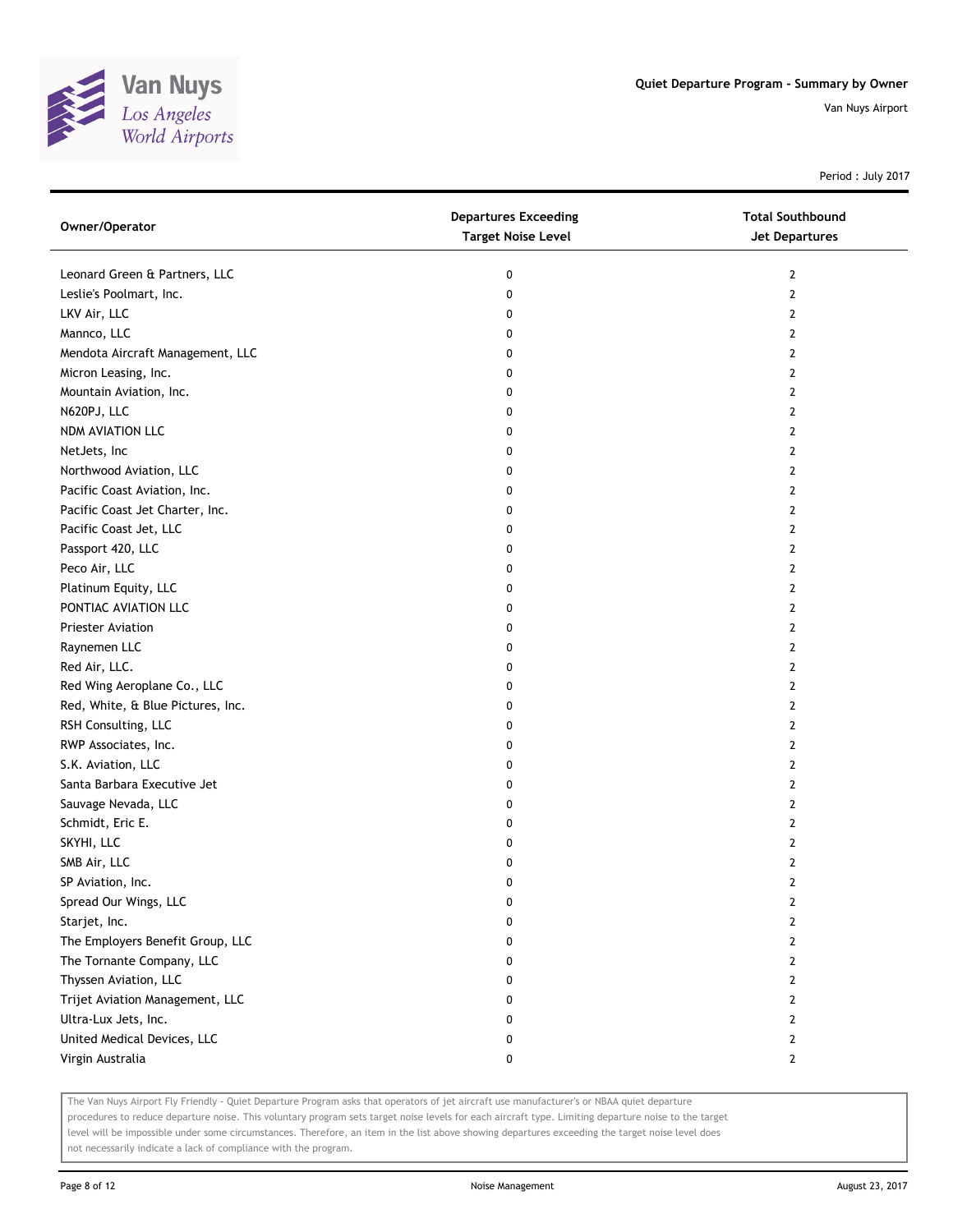

Period : July 2017

| Owner/Operator                    | <b>Departures Exceeding</b><br><b>Target Noise Level</b> | <b>Total Southbound</b><br><b>Jet Departures</b> |
|-----------------------------------|----------------------------------------------------------|--------------------------------------------------|
| Leonard Green & Partners, LLC     | 0                                                        | $\mathbf{2}$                                     |
| Leslie's Poolmart, Inc.           | 0                                                        | $\overline{2}$                                   |
| LKV Air, LLC                      | 0                                                        | 2                                                |
| Mannco, LLC                       | 0                                                        | $\mathbf{2}$                                     |
| Mendota Aircraft Management, LLC  | 0                                                        | $\mathbf{2}$                                     |
| Micron Leasing, Inc.              | 0                                                        | $\overline{2}$                                   |
| Mountain Aviation, Inc.           | 0                                                        | 2                                                |
| N620PJ, LLC                       | 0                                                        | 2                                                |
| NDM AVIATION LLC                  | 0                                                        | $\mathbf{2}$                                     |
| NetJets, Inc                      | 0                                                        | $\mathbf{2}$                                     |
| Northwood Aviation, LLC           | 0                                                        | $\overline{2}$                                   |
| Pacific Coast Aviation, Inc.      | 0                                                        | $\overline{2}$                                   |
| Pacific Coast Jet Charter, Inc.   | 0                                                        | 2                                                |
| Pacific Coast Jet, LLC            | 0                                                        | $\mathbf{2}$                                     |
| Passport 420, LLC                 | 0                                                        | $\mathbf{2}$                                     |
| Peco Air, LLC                     | 0                                                        | $\mathbf{2}$                                     |
| Platinum Equity, LLC              | 0                                                        | 2                                                |
| PONTIAC AVIATION LLC              | 0                                                        | 2                                                |
| Priester Aviation                 | 0                                                        | $\mathbf{2}$                                     |
| Raynemen LLC                      | 0                                                        | $\mathbf{2}$                                     |
| Red Air, LLC.                     | 0                                                        | $\overline{2}$                                   |
| Red Wing Aeroplane Co., LLC       | 0                                                        | $\overline{2}$                                   |
| Red, White, & Blue Pictures, Inc. | 0                                                        | 2                                                |
| RSH Consulting, LLC               | 0                                                        | $\mathbf{2}$                                     |
| RWP Associates, Inc.              | 0                                                        | $\mathbf{2}$                                     |
| S.K. Aviation, LLC                | 0                                                        | $\mathbf{2}$                                     |
| Santa Barbara Executive Jet       | 0                                                        | 2                                                |
| Sauvage Nevada, LLC               | 0                                                        | 2                                                |
| Schmidt, Eric E.                  | 0                                                        | $\mathbf{2}$                                     |
| SKYHI, LLC                        | 0                                                        | $\mathbf{2}$                                     |
| SMB Air, LLC                      | 0                                                        | 2                                                |
| SP Aviation, Inc.                 | 0                                                        | $\overline{2}$                                   |
| Spread Our Wings, LLC             | 0                                                        | 2                                                |
| Starjet, Inc.                     | 0                                                        | $\mathbf{2}$                                     |
| The Employers Benefit Group, LLC  | 0                                                        | $\mathbf{2}$                                     |
| The Tornante Company, LLC         | 0                                                        | $\mathbf{2}$                                     |
| Thyssen Aviation, LLC             | 0                                                        | $\mathbf{2}$                                     |
| Trijet Aviation Management, LLC   | 0                                                        | $\mathbf{2}$                                     |
| Ultra-Lux Jets, Inc.              | 0                                                        | $\mathbf{2}$                                     |
| United Medical Devices, LLC       | 0                                                        | $\mathbf{2}$                                     |
| Virgin Australia                  | 0                                                        | $\mathbf{2}$                                     |

The Van Nuys Airport Fly Friendly - Quiet Departure Program asks that operators of jet aircraft use manufacturer's or NBAA quiet departure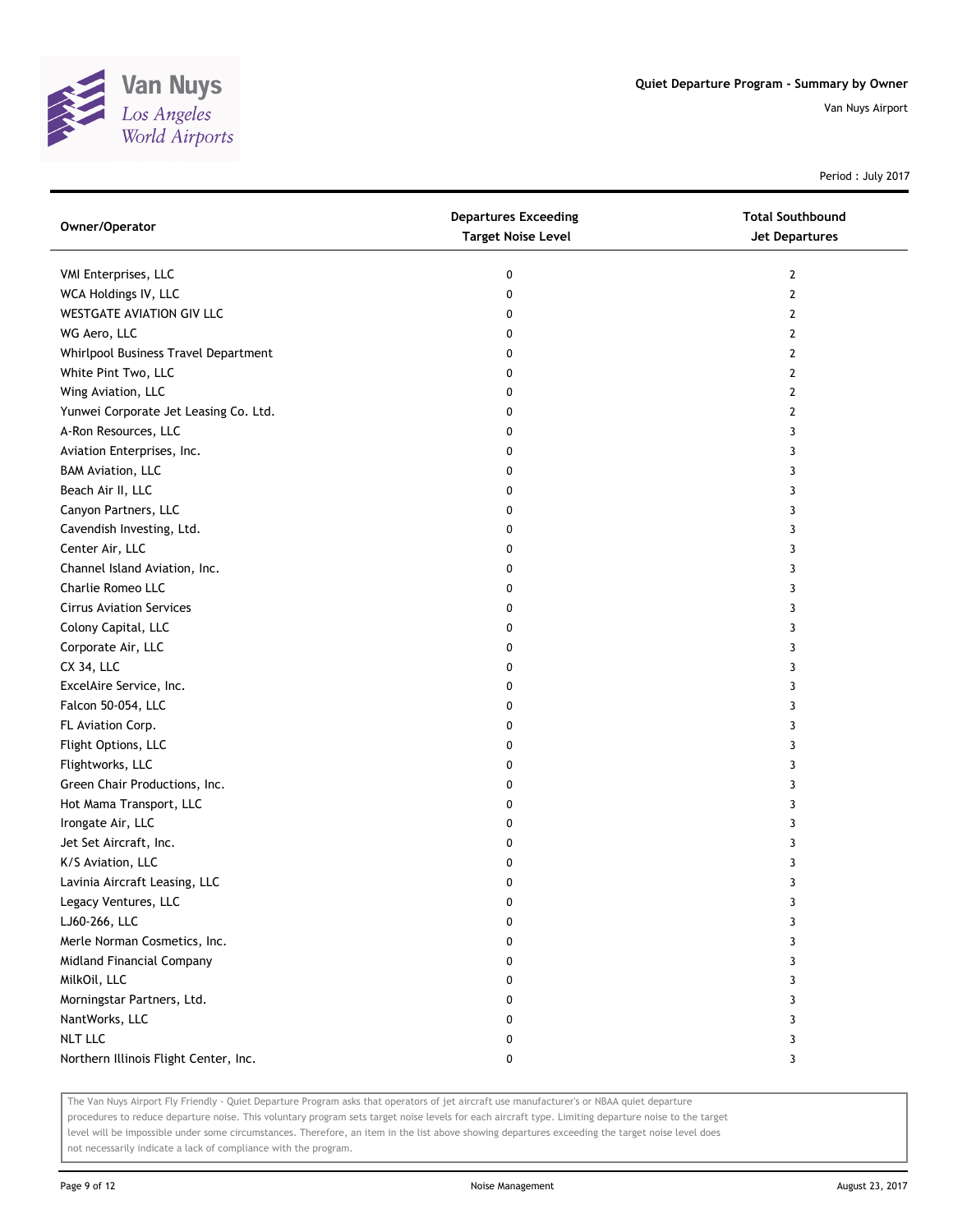

Period : July 2017

| Owner/Operator                        | <b>Departures Exceeding</b><br><b>Target Noise Level</b> | <b>Total Southbound</b><br>Jet Departures |
|---------------------------------------|----------------------------------------------------------|-------------------------------------------|
| VMI Enterprises, LLC                  | 0                                                        | 2                                         |
| WCA Holdings IV, LLC                  | 0                                                        | 2                                         |
| WESTGATE AVIATION GIV LLC             | 0                                                        | 2                                         |
| WG Aero, LLC                          | 0                                                        | 2                                         |
| Whirlpool Business Travel Department  | 0                                                        | 2                                         |
| White Pint Two, LLC                   | 0                                                        | 2                                         |
| Wing Aviation, LLC                    | 0                                                        | 2                                         |
| Yunwei Corporate Jet Leasing Co. Ltd. | 0                                                        | 2                                         |
| A-Ron Resources, LLC                  | 0                                                        | 3                                         |
| Aviation Enterprises, Inc.            | 0                                                        | 3                                         |
| <b>BAM Aviation, LLC</b>              | 0                                                        | 3                                         |
| Beach Air II, LLC                     | 0                                                        | 3                                         |
| Canyon Partners, LLC                  | 0                                                        | 3                                         |
| Cavendish Investing, Ltd.             | 0                                                        | 3                                         |
| Center Air, LLC                       | 0                                                        | 3                                         |
| Channel Island Aviation, Inc.         | 0                                                        | 3                                         |
| Charlie Romeo LLC                     | 0                                                        | 3                                         |
| <b>Cirrus Aviation Services</b>       | 0                                                        | 3                                         |
| Colony Capital, LLC                   | 0                                                        | 3                                         |
| Corporate Air, LLC                    | 0                                                        | 3                                         |
| CX 34, LLC                            | 0                                                        | 3                                         |
| ExcelAire Service, Inc.               | 0                                                        | 3                                         |
| Falcon 50-054, LLC                    | 0                                                        | 3                                         |
| FL Aviation Corp.                     | 0                                                        | 3                                         |
| Flight Options, LLC                   | 0                                                        | 3                                         |
| Flightworks, LLC                      | 0                                                        | 3                                         |
| Green Chair Productions, Inc.         | 0                                                        | 3                                         |
| Hot Mama Transport, LLC               | 0                                                        | 3                                         |
| Irongate Air, LLC                     | 0                                                        | 3                                         |
| Jet Set Aircraft, Inc.                | 0                                                        | 3                                         |
| K/S Aviation, LLC                     | 0                                                        | 3                                         |
| Lavinia Aircraft Leasing, LLC         | 0                                                        | 3                                         |
| Legacy Ventures, LLC                  | 0                                                        | 3                                         |
| LJ60-266, LLC                         | 0                                                        | 3                                         |
| Merle Norman Cosmetics, Inc.          | 0                                                        | 3                                         |
| Midland Financial Company             | 0                                                        | 3                                         |
| MilkOil, LLC                          | 0                                                        | 3                                         |
| Morningstar Partners, Ltd.            | 0                                                        | 3                                         |
| NantWorks, LLC                        | 0                                                        | 3                                         |
| <b>NLT LLC</b>                        | 0                                                        | 3                                         |
| Northern Illinois Flight Center, Inc. | 0                                                        | 3                                         |

The Van Nuys Airport Fly Friendly - Quiet Departure Program asks that operators of jet aircraft use manufacturer's or NBAA quiet departure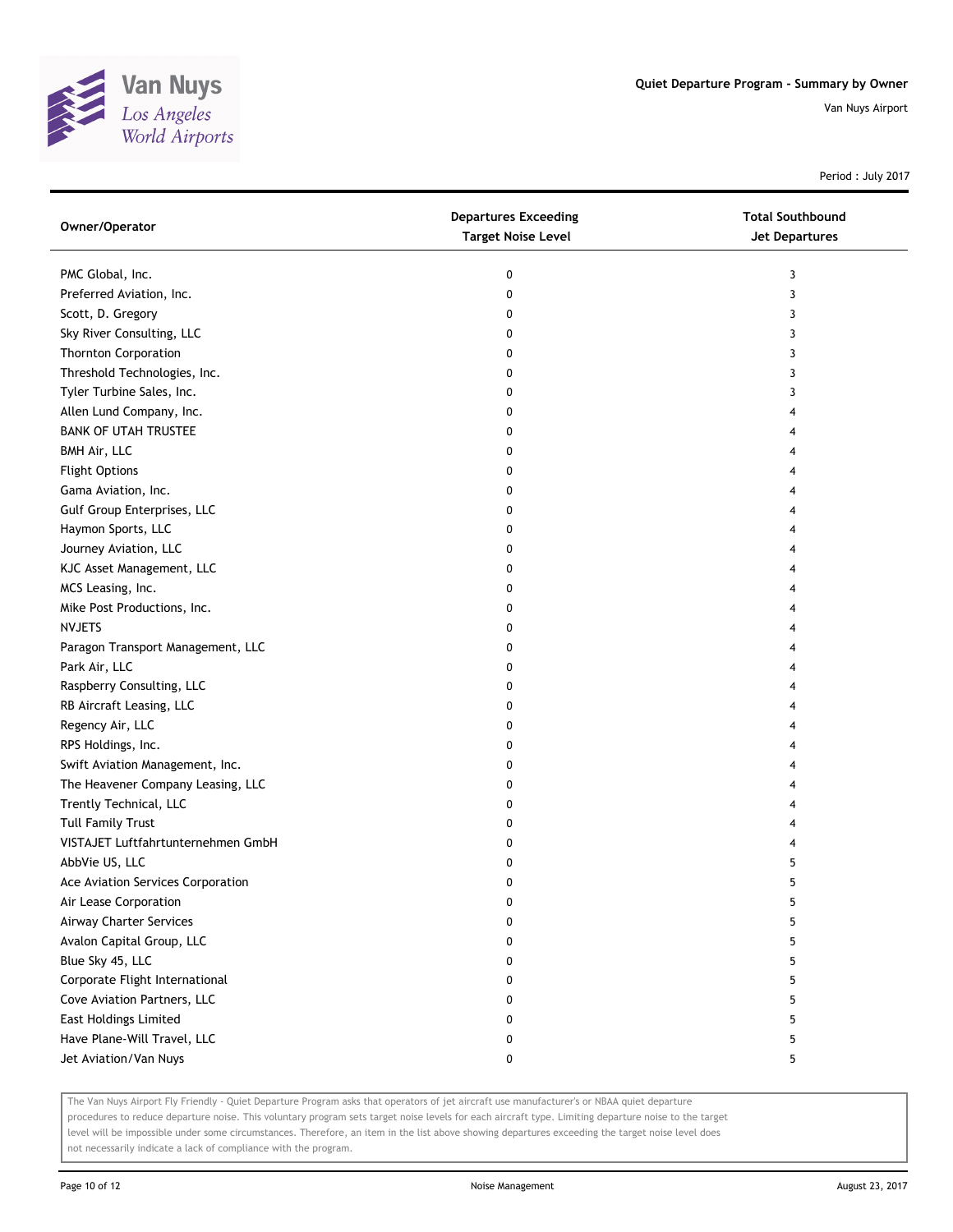

Period : July 2017

| Owner/Operator                     | <b>Departures Exceeding</b><br><b>Target Noise Level</b> | <b>Total Southbound</b><br>Jet Departures |
|------------------------------------|----------------------------------------------------------|-------------------------------------------|
| PMC Global, Inc.                   | 0                                                        | 3                                         |
| Preferred Aviation, Inc.           | 0                                                        | 3                                         |
| Scott, D. Gregory                  | 0                                                        | 3                                         |
| Sky River Consulting, LLC          | 0                                                        | 3                                         |
| <b>Thornton Corporation</b>        | 0                                                        | 3                                         |
| Threshold Technologies, Inc.       | 0                                                        | 3                                         |
| Tyler Turbine Sales, Inc.          | 0                                                        | 3                                         |
| Allen Lund Company, Inc.           | 0                                                        | 4                                         |
| <b>BANK OF UTAH TRUSTEE</b>        | 0                                                        |                                           |
| BMH Air, LLC                       | 0                                                        |                                           |
| <b>Flight Options</b>              | 0                                                        |                                           |
| Gama Aviation, Inc.                | 0                                                        |                                           |
| Gulf Group Enterprises, LLC        | 0                                                        |                                           |
| Haymon Sports, LLC                 | 0                                                        |                                           |
| Journey Aviation, LLC              | 0                                                        |                                           |
| KJC Asset Management, LLC          | 0                                                        |                                           |
| MCS Leasing, Inc.                  | 0                                                        | 4                                         |
| Mike Post Productions, Inc.        | 0                                                        | 4                                         |
| <b>NVJETS</b>                      | 0                                                        |                                           |
| Paragon Transport Management, LLC  | 0                                                        |                                           |
| Park Air, LLC                      | 0                                                        |                                           |
| Raspberry Consulting, LLC          | 0                                                        | 4                                         |
| RB Aircraft Leasing, LLC           | 0                                                        |                                           |
| Regency Air, LLC                   | 0                                                        |                                           |
| RPS Holdings, Inc.                 | 0                                                        |                                           |
| Swift Aviation Management, Inc.    | 0                                                        |                                           |
| The Heavener Company Leasing, LLC  | 0                                                        | 4                                         |
| Trently Technical, LLC             | 0                                                        |                                           |
| <b>Tull Family Trust</b>           | 0                                                        |                                           |
| VISTAJET Luftfahrtunternehmen GmbH | 0                                                        |                                           |
| AbbVie US, LLC                     | 0                                                        | 5                                         |
| Ace Aviation Services Corporation  | 0                                                        | 5                                         |
| Air Lease Corporation              | 0                                                        | 5                                         |
| Airway Charter Services            | 0                                                        | 5                                         |
| Avalon Capital Group, LLC          | 0                                                        | 5                                         |
| Blue Sky 45, LLC                   | 0                                                        | 5                                         |
| Corporate Flight International     | 0                                                        | 5                                         |
| Cove Aviation Partners, LLC        | 0                                                        | 5                                         |
| <b>East Holdings Limited</b>       | 0                                                        | 5                                         |
| Have Plane-Will Travel, LLC        | 0                                                        | 5                                         |
| Jet Aviation/Van Nuys              | 0                                                        | 5                                         |

The Van Nuys Airport Fly Friendly - Quiet Departure Program asks that operators of jet aircraft use manufacturer's or NBAA quiet departure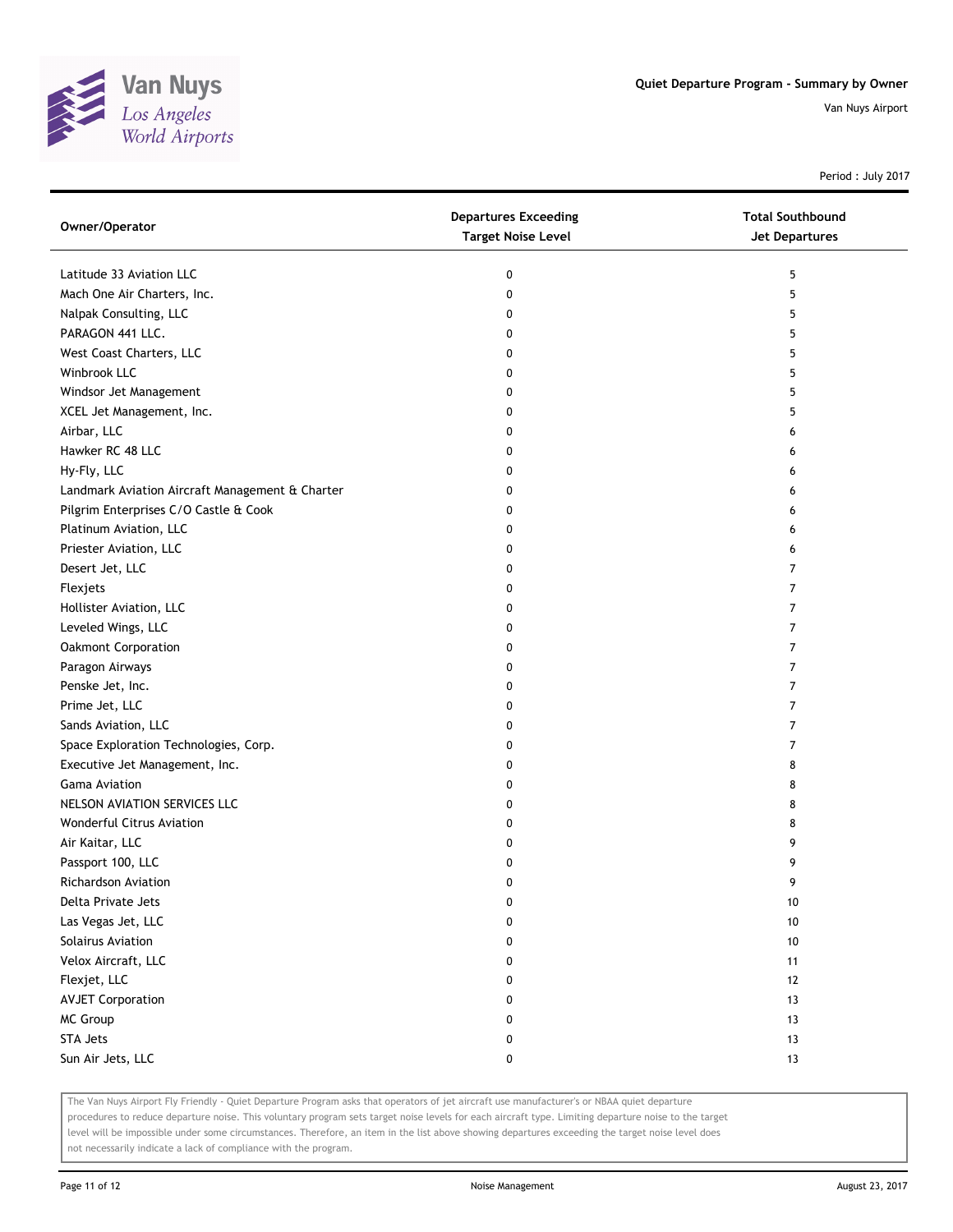

Period : July 2017

| Owner/Operator                                  | <b>Departures Exceeding</b><br><b>Target Noise Level</b> | <b>Total Southbound</b><br><b>Jet Departures</b> |
|-------------------------------------------------|----------------------------------------------------------|--------------------------------------------------|
| Latitude 33 Aviation LLC                        | 0                                                        | 5                                                |
| Mach One Air Charters, Inc.                     | 0                                                        | 5                                                |
| Nalpak Consulting, LLC                          | 0                                                        | 5                                                |
| PARAGON 441 LLC.                                | 0                                                        | 5                                                |
| West Coast Charters, LLC                        | 0                                                        | 5                                                |
| Winbrook LLC                                    | 0                                                        | 5                                                |
| Windsor Jet Management                          | 0                                                        | 5                                                |
| XCEL Jet Management, Inc.                       | 0                                                        | 5                                                |
| Airbar, LLC                                     | 0                                                        | 6                                                |
| Hawker RC 48 LLC                                | 0                                                        | 6                                                |
| Hy-Fly, LLC                                     | 0                                                        | 6                                                |
| Landmark Aviation Aircraft Management & Charter | 0                                                        | 6                                                |
| Pilgrim Enterprises C/O Castle & Cook           | 0                                                        | 6                                                |
| Platinum Aviation, LLC                          | 0                                                        | 6                                                |
| Priester Aviation, LLC                          | 0                                                        | 6                                                |
| Desert Jet, LLC                                 | 0                                                        | 7                                                |
| Flexjets                                        | 0                                                        | 7                                                |
| Hollister Aviation, LLC                         | 0                                                        | 7                                                |
| Leveled Wings, LLC                              | 0                                                        | 7                                                |
| Oakmont Corporation                             | 0                                                        | 7                                                |
| Paragon Airways                                 | 0                                                        | 7                                                |
| Penske Jet, Inc.                                | 0                                                        | 7                                                |
| Prime Jet, LLC                                  | 0                                                        | 7                                                |
| Sands Aviation, LLC                             | 0                                                        | 7                                                |
| Space Exploration Technologies, Corp.           | 0                                                        | 7                                                |
| Executive Jet Management, Inc.                  | 0                                                        | 8                                                |
| <b>Gama Aviation</b>                            | 0                                                        | 8                                                |
| NELSON AVIATION SERVICES LLC                    | 0                                                        | 8                                                |
| Wonderful Citrus Aviation                       | 0                                                        | 8                                                |
| Air Kaitar, LLC                                 | 0                                                        | 9                                                |
| Passport 100, LLC                               | 0                                                        | 9                                                |
| <b>Richardson Aviation</b>                      | 0                                                        | 9                                                |
| Delta Private Jets                              | U                                                        | 10                                               |
| Las Vegas Jet, LLC                              | 0                                                        | 10                                               |
| Solairus Aviation                               | 0                                                        | 10                                               |
| Velox Aircraft, LLC                             | 0                                                        | 11                                               |
| Flexjet, LLC                                    | 0                                                        | 12                                               |
| <b>AVJET Corporation</b>                        | 0                                                        | 13                                               |
| MC Group                                        | 0                                                        | 13                                               |
| STA Jets                                        | 0                                                        | 13                                               |
| Sun Air Jets, LLC                               | 0                                                        | 13                                               |

The Van Nuys Airport Fly Friendly - Quiet Departure Program asks that operators of jet aircraft use manufacturer's or NBAA quiet departure